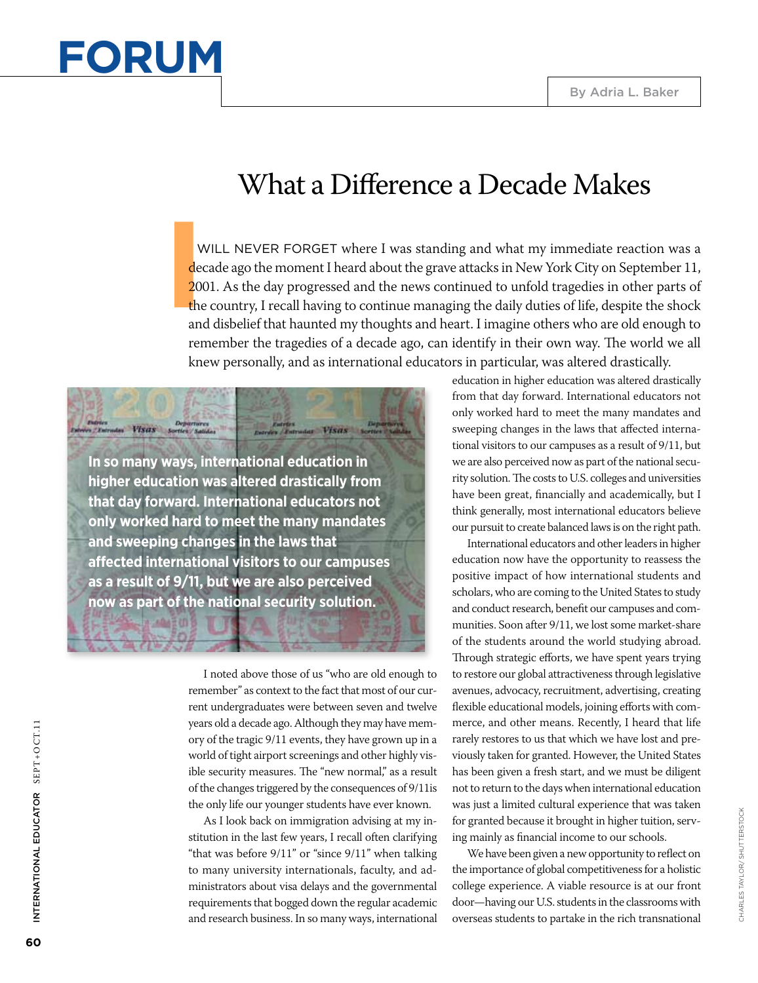

## What a Difference a Decade Makes

V<br>
dec<br>
200<br>
the<br>
and WILL NEVER FORGET where I was standing and what my immediate reaction was a decade ago the moment I heard about the grave attacks in New York City on September 11, 2001. As the day progressed and the news continued to unfold tragedies in other parts of the country, I recall having to continue managing the daily duties of life, despite the shock and disbelief that haunted my thoughts and heart. I imagine others who are old enough to remember the tragedies of a decade ago, can identify in their own way. The world we all knew personally, and as international educators in particular, was altered drastically.

**In so many ways, international education in higher education was altered drastically from that day forward. International educators not only worked hard to meet the many mandates and sweeping changes in the laws that affected international visitors to our campuses as a result of 9/11, but we are also perceived now as part of the national security solution.**

Departures<br>an VISGS Sorties Salidas

I noted above those of us "who are old enough to remember" as context to the fact that most of our current undergraduates were between seven and twelve years old a decade ago. Although they may have memory of the tragic 9/11 events, they have grown up in a world of tight airport screenings and other highly visible security measures. The "new normal," as a result of the changes triggered by the consequences of 9/11is the only life our younger students have ever known.

w Visas

As I look back on immigration advising at my institution in the last few years, I recall often clarifying "that was before 9/11" or "since 9/11" when talking to many university internationals, faculty, and administrators about visa delays and the governmental requirements that bogged down the regular academic and research business. In so many ways, international

education in higher education was altered drastically from that day forward. International educators not only worked hard to meet the many mandates and sweeping changes in the laws that affected international visitors to our campuses as a result of 9/11, but we are also perceived now as part of the national security solution. The costs to U.S. colleges and universities have been great, financially and academically, but I think generally, most international educators believe our pursuit to create balanced laws is on the right path.

International educators and other leaders in higher education now have the opportunity to reassess the positive impact of how international students and scholars, who are coming to the United States to study and conduct research, benefit our campuses and communities. Soon after 9/11, we lost some market-share of the students around the world studying abroad. Through strategic efforts, we have spent years trying to restore our global attractiveness through legislative avenues, advocacy, recruitment, advertising, creating flexible educational models, joining efforts with commerce, and other means. Recently, I heard that life rarely restores to us that which we have lost and previously taken for granted. However, the United States has been given a fresh start, and we must be diligent not to return to the days when international education was just a limited cultural experience that was taken for granted because it brought in higher tuition, serving mainly as financial income to our schools.

We have been given a new opportunity to reflect on the importance of global competitiveness for a holistic college experience. A viable resource is at our front door—having our U.S. students in the classrooms with overseas students to partake in the rich transnational

International Educator SEPT+O CT.11

INTERNATIONAL EDUCATOR SEPT+OCT.11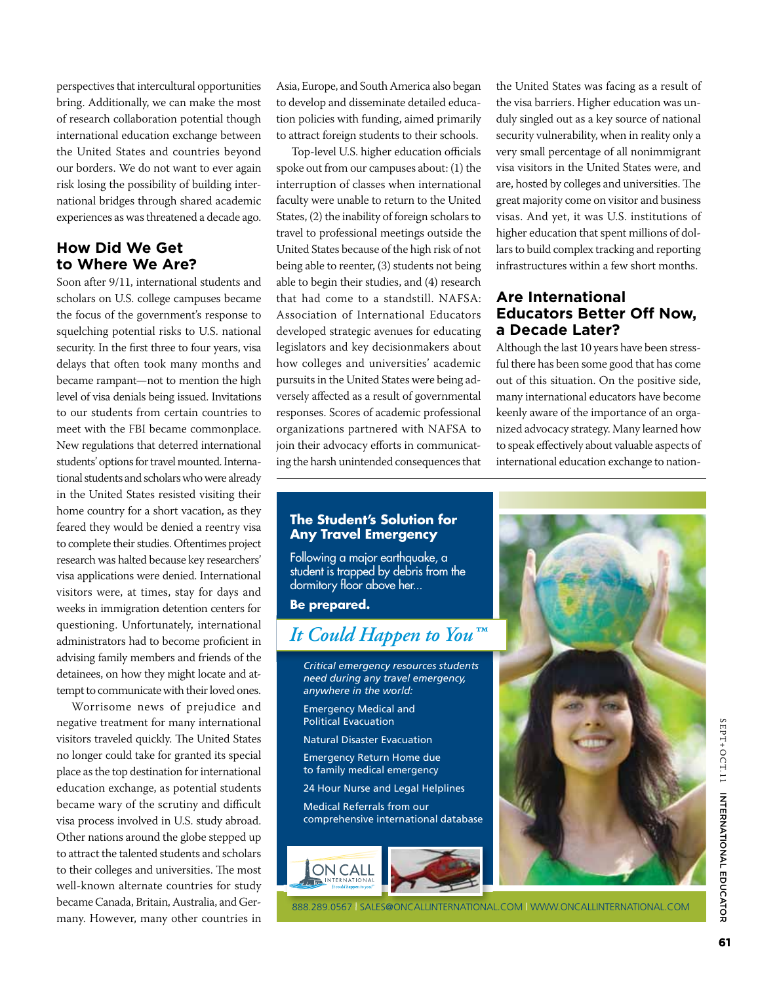perspectives that intercultural opportunities bring. Additionally, we can make the most of research collaboration potential though international education exchange between the United States and countries beyond our borders. We do not want to ever again risk losing the possibility of building international bridges through shared academic experiences as was threatened a decade ago.

#### **How Did We Get to Where We Are?**

Soon after 9/11, international students and scholars on U.S. college campuses became the focus of the government's response to squelching potential risks to U.S. national security. In the first three to four years, visa delays that often took many months and became rampant—not to mention the high level of visa denials being issued. Invitations to our students from certain countries to meet with the FBI became commonplace. New regulations that deterred international students' options for travel mounted. International students and scholars who were already in the United States resisted visiting their home country for a short vacation, as they feared they would be denied a reentry visa to complete their studies. Oftentimes project research was halted because key researchers' visa applications were denied. International visitors were, at times, stay for days and weeks in immigration detention centers for questioning. Unfortunately, international administrators had to become proficient in advising family members and friends of the detainees, on how they might locate and attempt to communicate with their loved ones.

Worrisome news of prejudice and negative treatment for many international visitors traveled quickly. The United States no longer could take for granted its special place as the top destination for international education exchange, as potential students became wary of the scrutiny and difficult visa process involved in U.S. study abroad. Other nations around the globe stepped up to attract the talented students and scholars to their colleges and universities. The most well-known alternate countries for study became Canada, Britain, Australia, and Germany. However, many other countries in

Asia, Europe, and South America also began to develop and disseminate detailed education policies with funding, aimed primarily to attract foreign students to their schools.

Top-level U.S. higher education officials spoke out from our campuses about: (1) the interruption of classes when international faculty were unable to return to the United States, (2) the inability of foreign scholars to travel to professional meetings outside the United States because of the high risk of not being able to reenter, (3) students not being able to begin their studies, and (4) research that had come to a standstill. NAFSA: Association of International Educators developed strategic avenues for educating legislators and key decisionmakers about how colleges and universities' academic pursuits in the United States were being adversely affected as a result of governmental responses. Scores of academic professional organizations partnered with NAFSA to join their advocacy efforts in communicating the harsh unintended consequences that

the United States was facing as a result of the visa barriers. Higher education was unduly singled out as a key source of national security vulnerability, when in reality only a very small percentage of all nonimmigrant visa visitors in the United States were, and are, hosted by colleges and universities. The great majority come on visitor and business visas. And yet, it was U.S. institutions of higher education that spent millions of dollars to build complex tracking and reporting infrastructures within a few short months.

#### **Are International Educators Better Off Now, a Decade Later?**

Although the last 10 years have been stressful there has been some good that has come out of this situation. On the positive side, many international educators have become keenly aware of the importance of an organized advocacy strategy. Many learned how to speak effectively about valuable aspects of international education exchange to nation-



#### **The Student's Solution for Any Travel Emergency**

Following a major earthquake, a student is trapped by debris from the dormitory floor above her...

**Be prepared.**

### *It Could Happen to You™*

- *Critical emergency resources students need during any travel emergency, anywhere in the world:*
- Emergency Medical and Political Evacuation
- Natural Disaster Evacuation
- Emergency Return Home due to family medical emergency
- 24 Hour Nurse and Legal Helplines
- Medical Referrals from our comprehensive international database





888.289.0567 | sales@oncallinternational.com | www.oncallinternational.com sales@oncallinternational.com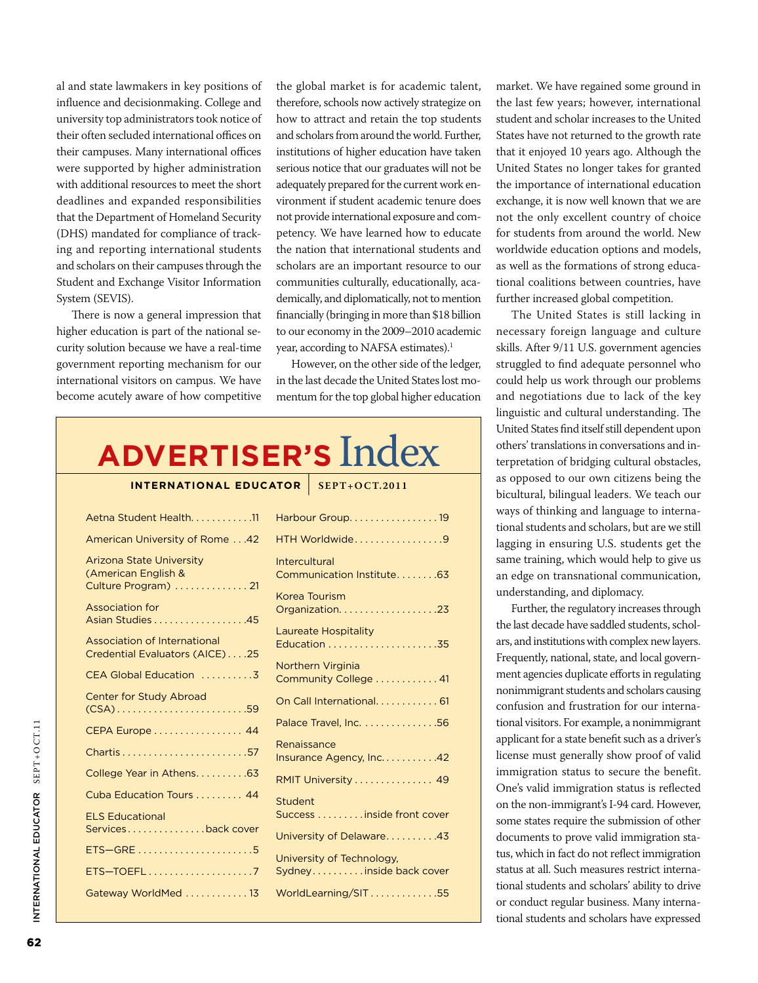al and state lawmakers in key positions of influence and decisionmaking. College and university top administrators took notice of their often secluded international offices on their campuses. Many international offices were supported by higher administration with additional resources to meet the short deadlines and expanded responsibilities that the Department of Homeland Security (DHS) mandated for compliance of tracking and reporting international students and scholars on their campuses through the Student and Exchange Visitor Information System (SEVIS).

There is now a general impression that higher education is part of the national security solution because we have a real-time government reporting mechanism for our international visitors on campus. We have become acutely aware of how competitive the global market is for academic talent, therefore, schools now actively strategize on how to attract and retain the top students and scholars from around the world. Further, institutions of higher education have taken serious notice that our graduates will not be adequately prepared for the current work environment if student academic tenure does not provide international exposure and competency. We have learned how to educate the nation that international students and scholars are an important resource to our communities culturally, educationally, academically, and diplomatically, not to mention financially (bringing in more than \$18 billion to our economy in the 2009–2010 academic year, according to NAFSA estimates).<sup>1</sup>

However, on the other side of the ledger, in the last decade the United States lost momentum for the top global higher education

# **Advertiser's** Index

#### **International Educator** | **SEPT+O CT.2011**

| Aetna Student Health. 11                                                       | Harbour Group19                                     |
|--------------------------------------------------------------------------------|-----------------------------------------------------|
| American University of Rome 42                                                 | HTH Worldwide9                                      |
| <b>Arizona State University</b><br>(American English &<br>Culture Program)  21 | <b>Intercultural</b><br>Communication Institute. 63 |
| <b>Association for</b><br>Asian Studies 45                                     | <b>Korea Tourism</b><br>Organization23              |
| Association of International<br>Credential Evaluators (AICE)25                 | Laureate Hospitality                                |
| CEA Global Education 3                                                         | Northern Virginia<br>Community College  41          |
| <b>Center for Study Abroad</b><br>$(CSA)$ 59                                   | On Call International 61                            |
| CEPA Europe 44                                                                 | Palace Travel, Inc. 56                              |
|                                                                                | Renaissance<br>Insurance Agency, Inc. 42            |
| College Year in Athens63                                                       | RMIT University  49                                 |
| Cuba Education Tours  44                                                       | Student                                             |
| <b>ELS Educational</b>                                                         | Success inside front cover                          |
| Servicesback cover                                                             | University of Delaware43                            |
| ETS-GRE5                                                                       | University of Technology,                           |
| ETS-TOEFL7                                                                     | Sydneyinside back cover                             |
| Gateway WorldMed 13                                                            | WorldLearning/SIT55                                 |
|                                                                                |                                                     |

market. We have regained some ground in the last few years; however, international student and scholar increases to the United States have not returned to the growth rate that it enjoyed 10 years ago. Although the United States no longer takes for granted the importance of international education exchange, it is now well known that we are not the only excellent country of choice for students from around the world. New worldwide education options and models, as well as the formations of strong educational coalitions between countries, have further increased global competition.

The United States is still lacking in necessary foreign language and culture skills. After 9/11 U.S. government agencies struggled to find adequate personnel who could help us work through our problems and negotiations due to lack of the key linguistic and cultural understanding. The United States find itself still dependent upon others' translations in conversations and interpretation of bridging cultural obstacles, as opposed to our own citizens being the bicultural, bilingual leaders. We teach our ways of thinking and language to international students and scholars, but are we still lagging in ensuring U.S. students get the same training, which would help to give us an edge on transnational communication, understanding, and diplomacy.

Further, the regulatory increases through the last decade have saddled students, scholars, and institutions with complex new layers. Frequently, national, state, and local government agencies duplicate efforts in regulating nonimmigrant students and scholars causing confusion and frustration for our international visitors. For example, a nonimmigrant applicant for a state benefit such as a driver's license must generally show proof of valid immigration status to secure the benefit. One's valid immigration status is reflected on the non-immigrant's I-94 card. However, some states require the submission of other documents to prove valid immigration status, which in fact do not reflect immigration status at all. Such measures restrict international students and scholars' ability to drive or conduct regular business. Many international students and scholars have expressed